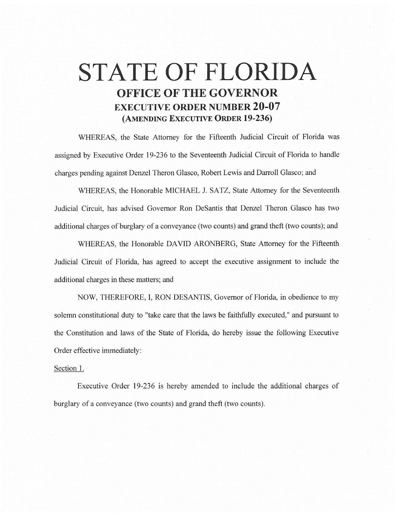## **STATE OF FLORIDA OFFICE OF THE GOVERNOR EXECUTIVE ORDER NUMBER 20-07 (AMENDING EXECUTIVE ORDER 19-236)**

WHEREAS, the State Attorney for the Fifteenth Judicial Circuit of Florida was assigned by Executive Order 19-236 to the Seventeenth Judicial Circuit of Florida to handle charges pending against Denzel Theron Glasco, Robert Lewis and Darroll Glasco; and

WHEREAS, the Honorable MICHAEL J. SATZ, State Attorney for the Seventeenth Judicial Circuit, has advised Governor Ron DeSantis that Denzel Theron Glasco has two additional charges of burglary of a conveyance (two counts) and grand theft (two counts); and

WHEREAS, the Honorable DAVID ARONBERG, State Attorney for the Fifteenth Judicial Circuit of Florida, has agreed to accept the executive assignment to include the additional charges in these matters; and

NOW, THEREFORE, I, RON DESANTIS, Governor of Florida, in obedience to my solemn constitutional duty to "take care that the laws be faithfully executed," and pursuant to the Constitution and laws of the State of Florida, do hereby issue the following Executive Order effective immediately:

## Section 1.

Executive Order 19-236 is hereby amended to include the additional charges of burglary of a conveyance (two counts) and grand theft (two counts).